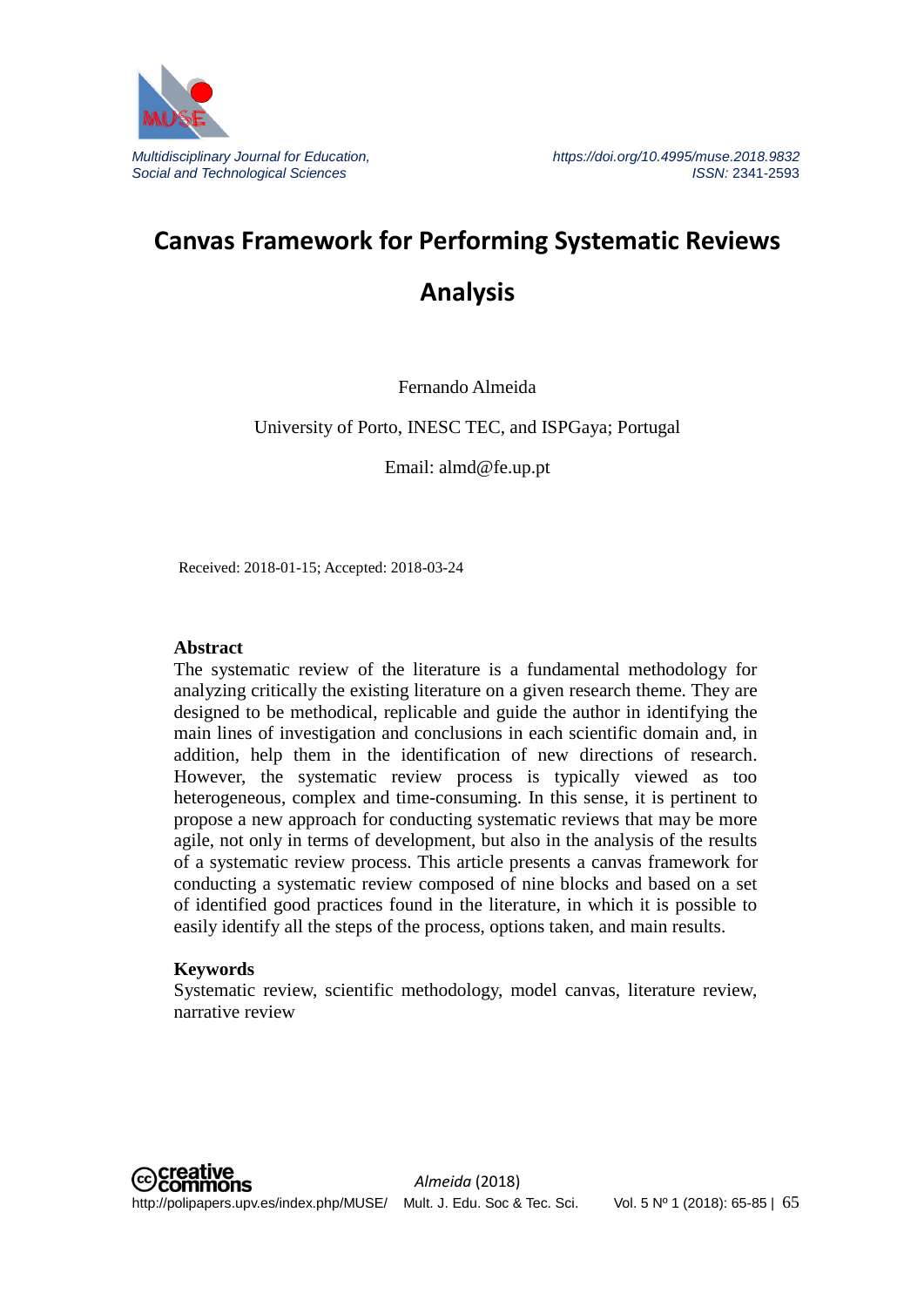

# **Canvas Framework for Performing Systematic Reviews Analysis**

Fernando Almeida

University of Porto, INESC TEC, and ISPGaya; Portugal

Email: almd@fe.up.pt

Received: 2018-01-15; Accepted: 2018-03-24

#### **Abstract**

The systematic review of the literature is a fundamental methodology for analyzing critically the existing literature on a given research theme. They are designed to be methodical, replicable and guide the author in identifying the main lines of investigation and conclusions in each scientific domain and, in addition, help them in the identification of new directions of research. However, the systematic review process is typically viewed as too heterogeneous, complex and time-consuming. In this sense, it is pertinent to propose a new approach for conducting systematic reviews that may be more agile, not only in terms of development, but also in the analysis of the results of a systematic review process. This article presents a canvas framework for conducting a systematic review composed of nine blocks and based on a set of identified good practices found in the literature, in which it is possible to easily identify all the steps of the process, options taken, and main results.

#### **Keywords**

Systematic review, scientific methodology, model canvas, literature review, narrative review

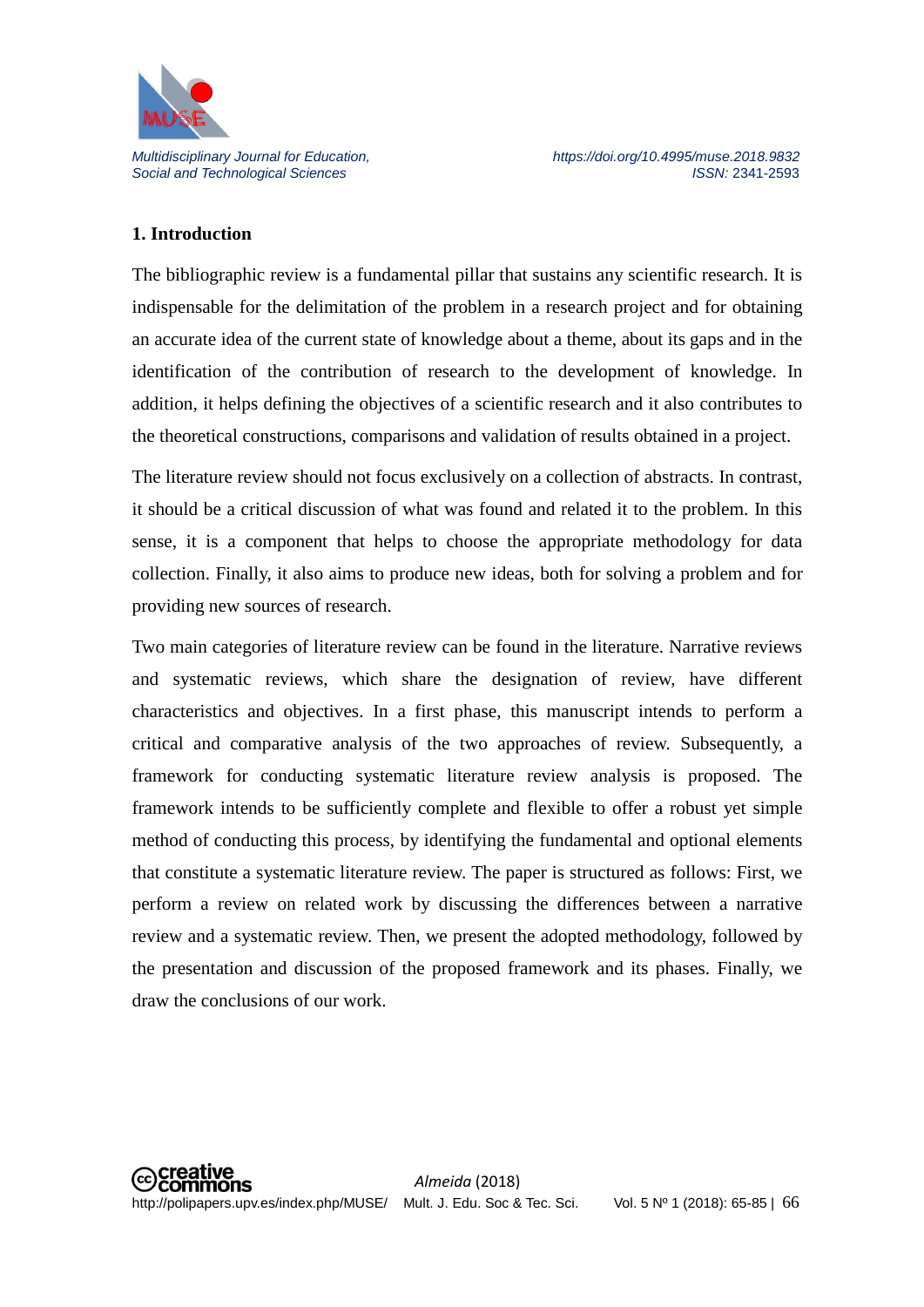

# **1. Introduction**

The bibliographic review is a fundamental pillar that sustains any scientific research. It is indispensable for the delimitation of the problem in a research project and for obtaining an accurate idea of the current state of knowledge about a theme, about its gaps and in the identification of the contribution of research to the development of knowledge. In addition, it helps defining the objectives of a scientific research and it also contributes to the theoretical constructions, comparisons and validation of results obtained in a project.

The literature review should not focus exclusively on a collection of abstracts. In contrast, it should be a critical discussion of what was found and related it to the problem. In this sense, it is a component that helps to choose the appropriate methodology for data collection. Finally, it also aims to produce new ideas, both for solving a problem and for providing new sources of research.

Two main categories of literature review can be found in the literature. Narrative reviews and systematic reviews, which share the designation of review, have different characteristics and objectives. In a first phase, this manuscript intends to perform a critical and comparative analysis of the two approaches of review. Subsequently, a framework for conducting systematic literature review analysis is proposed. The framework intends to be sufficiently complete and flexible to offer a robust yet simple method of conducting this process, by identifying the fundamental and optional elements that constitute a systematic literature review. The paper is structured as follows: First, we perform a review on related work by discussing the differences between a narrative review and a systematic review. Then, we present the adopted methodology, followed by the presentation and discussion of the proposed framework and its phases. Finally, we draw the conclusions of our work.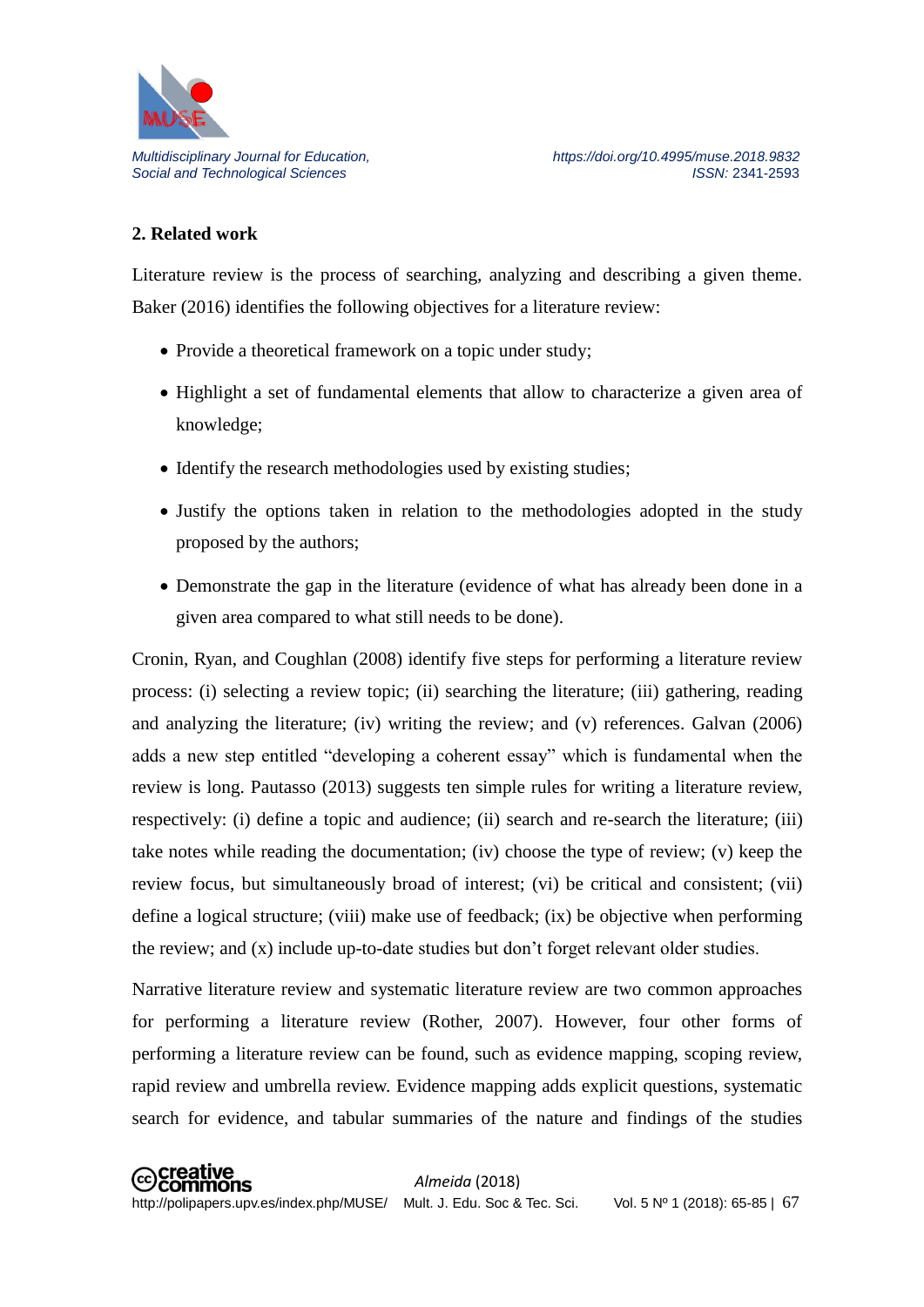

#### **2. Related work**

Literature review is the process of searching, analyzing and describing a given theme. Baker (2016) identifies the following objectives for a literature review:

- Provide a theoretical framework on a topic under study;
- Highlight a set of fundamental elements that allow to characterize a given area of knowledge;
- Identify the research methodologies used by existing studies;
- Justify the options taken in relation to the methodologies adopted in the study proposed by the authors;
- Demonstrate the gap in the literature (evidence of what has already been done in a given area compared to what still needs to be done).

Cronin, Ryan, and Coughlan (2008) identify five steps for performing a literature review process: (i) selecting a review topic; (ii) searching the literature; (iii) gathering, reading and analyzing the literature; (iv) writing the review; and (v) references. Galvan (2006) adds a new step entitled "developing a coherent essay" which is fundamental when the review is long. Pautasso (2013) suggests ten simple rules for writing a literature review, respectively: (i) define a topic and audience; (ii) search and re-search the literature; (iii) take notes while reading the documentation; (iv) choose the type of review; (v) keep the review focus, but simultaneously broad of interest; (vi) be critical and consistent; (vii) define a logical structure; (viii) make use of feedback; (ix) be objective when performing the review; and (x) include up-to-date studies but don't forget relevant older studies.

Narrative literature review and systematic literature review are two common approaches for performing a literature review (Rother, 2007). However, four other forms of performing a literature review can be found, such as evidence mapping, scoping review, rapid review and umbrella review. Evidence mapping adds explicit questions, systematic search for evidence, and tabular summaries of the nature and findings of the studies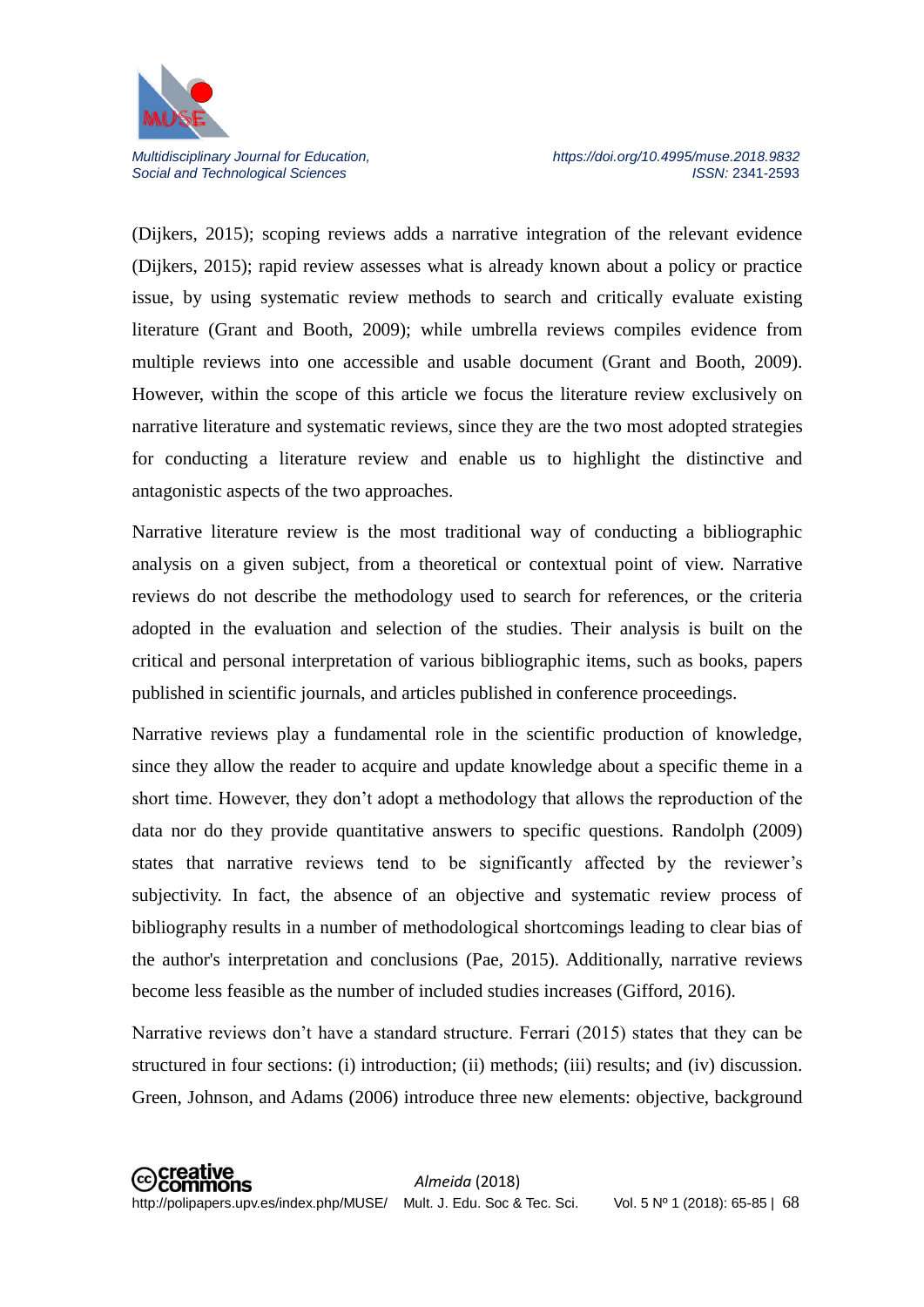

(Dijkers, 2015); scoping reviews adds a narrative integration of the relevant evidence (Dijkers, 2015); rapid review assesses what is already known about a policy or practice issue, by using systematic review methods to search and critically evaluate existing literature (Grant and Booth, 2009); while umbrella reviews compiles evidence from multiple reviews into one accessible and usable document (Grant and Booth, 2009). However, within the scope of this article we focus the literature review exclusively on narrative literature and systematic reviews, since they are the two most adopted strategies for conducting a literature review and enable us to highlight the distinctive and antagonistic aspects of the two approaches.

Narrative literature review is the most traditional way of conducting a bibliographic analysis on a given subject, from a theoretical or contextual point of view. Narrative reviews do not describe the methodology used to search for references, or the criteria adopted in the evaluation and selection of the studies. Their analysis is built on the critical and personal interpretation of various bibliographic items, such as books, papers published in scientific journals, and articles published in conference proceedings.

Narrative reviews play a fundamental role in the scientific production of knowledge, since they allow the reader to acquire and update knowledge about a specific theme in a short time. However, they don't adopt a methodology that allows the reproduction of the data nor do they provide quantitative answers to specific questions. Randolph (2009) states that narrative reviews tend to be significantly affected by the reviewer's subjectivity. In fact, the absence of an objective and systematic review process of bibliography results in a number of methodological shortcomings leading to clear bias of the author's interpretation and conclusions (Pae, 2015). Additionally, narrative reviews become less feasible as the number of included studies increases (Gifford, 2016).

Narrative reviews don't have a standard structure. Ferrari (2015) states that they can be structured in four sections: (i) introduction; (ii) methods; (iii) results; and (iv) discussion. Green, Johnson, and Adams (2006) introduce three new elements: objective, background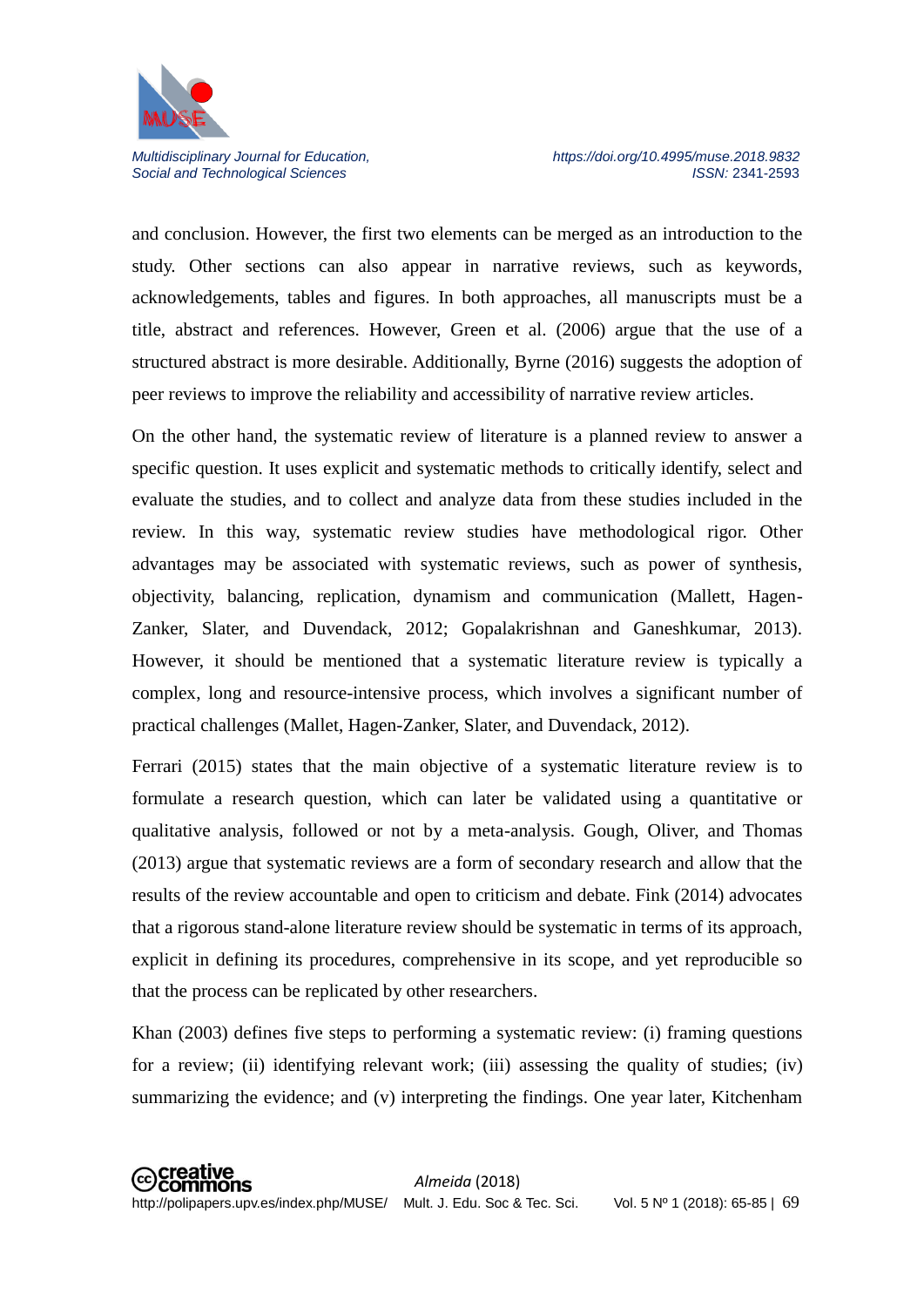

and conclusion. However, the first two elements can be merged as an introduction to the study. Other sections can also appear in narrative reviews, such as keywords, acknowledgements, tables and figures. In both approaches, all manuscripts must be a title, abstract and references. However, Green et al. (2006) argue that the use of a structured abstract is more desirable. Additionally, Byrne (2016) suggests the adoption of peer reviews to improve the reliability and accessibility of narrative review articles.

On the other hand, the systematic review of literature is a planned review to answer a specific question. It uses explicit and systematic methods to critically identify, select and evaluate the studies, and to collect and analyze data from these studies included in the review. In this way, systematic review studies have methodological rigor. Other advantages may be associated with systematic reviews, such as power of synthesis, objectivity, balancing, replication, dynamism and communication (Mallett, Hagen-Zanker, Slater, and Duvendack, 2012; Gopalakrishnan and Ganeshkumar, 2013). However, it should be mentioned that a systematic literature review is typically a complex, long and resource-intensive process, which involves a significant number of practical challenges (Mallet, Hagen-Zanker, Slater, and Duvendack, 2012).

Ferrari (2015) states that the main objective of a systematic literature review is to formulate a research question, which can later be validated using a quantitative or qualitative analysis, followed or not by a meta-analysis. Gough, Oliver, and Thomas (2013) argue that systematic reviews are a form of secondary research and allow that the results of the review accountable and open to criticism and debate. Fink (2014) advocates that a rigorous stand-alone literature review should be systematic in terms of its approach, explicit in defining its procedures, comprehensive in its scope, and yet reproducible so that the process can be replicated by other researchers.

Khan (2003) defines five steps to performing a systematic review: (i) framing questions for a review; (ii) identifying relevant work; (iii) assessing the quality of studies; (iv) summarizing the evidence; and (v) interpreting the findings. One year later, Kitchenham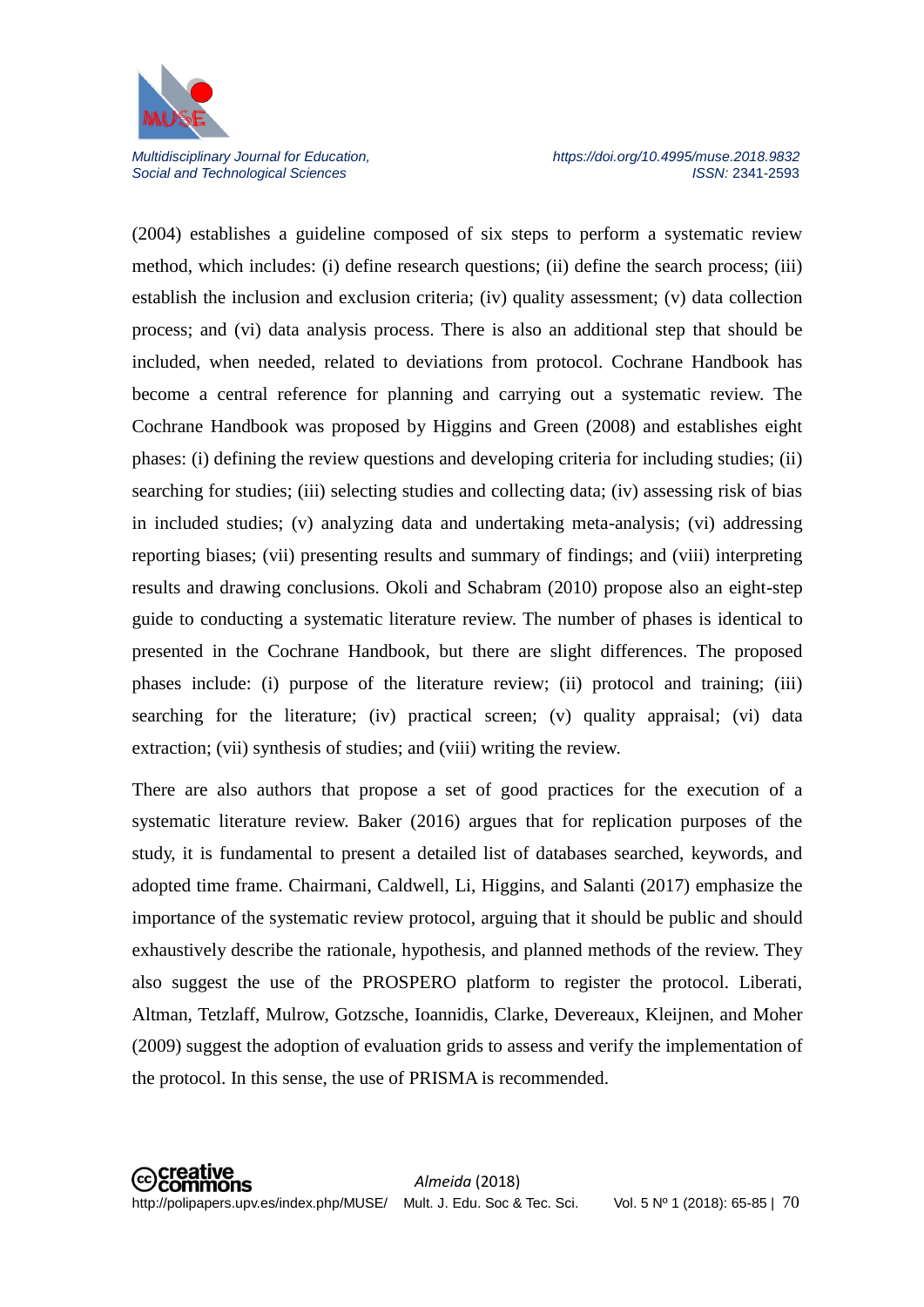

(2004) establishes a guideline composed of six steps to perform a systematic review method, which includes: (i) define research questions; (ii) define the search process; (iii) establish the inclusion and exclusion criteria; (iv) quality assessment; (v) data collection process; and (vi) data analysis process. There is also an additional step that should be included, when needed, related to deviations from protocol. Cochrane Handbook has become a central reference for planning and carrying out a systematic review. The Cochrane Handbook was proposed by Higgins and Green (2008) and establishes eight phases: (i) defining the review questions and developing criteria for including studies; (ii) searching for studies; (iii) selecting studies and collecting data; (iv) assessing risk of bias in included studies; (v) analyzing data and undertaking meta-analysis; (vi) addressing reporting biases; (vii) presenting results and summary of findings; and (viii) interpreting results and drawing conclusions. Okoli and Schabram (2010) propose also an eight-step guide to conducting a systematic literature review. The number of phases is identical to presented in the Cochrane Handbook, but there are slight differences. The proposed phases include: (i) purpose of the literature review; (ii) protocol and training; (iii) searching for the literature; (iv) practical screen; (v) quality appraisal; (vi) data extraction; (vii) synthesis of studies; and (viii) writing the review.

There are also authors that propose a set of good practices for the execution of a systematic literature review. Baker (2016) argues that for replication purposes of the study, it is fundamental to present a detailed list of databases searched, keywords, and adopted time frame. Chairmani, Caldwell, Li, Higgins, and Salanti (2017) emphasize the importance of the systematic review protocol, arguing that it should be public and should exhaustively describe the rationale, hypothesis, and planned methods of the review. They also suggest the use of the PROSPERO platform to register the protocol. Liberati, Altman, Tetzlaff, Mulrow, Gotzsche, Ioannidis, Clarke, Devereaux, Kleijnen, and Moher (2009) suggest the adoption of evaluation grids to assess and verify the implementation of the protocol. In this sense, the use of PRISMA is recommended.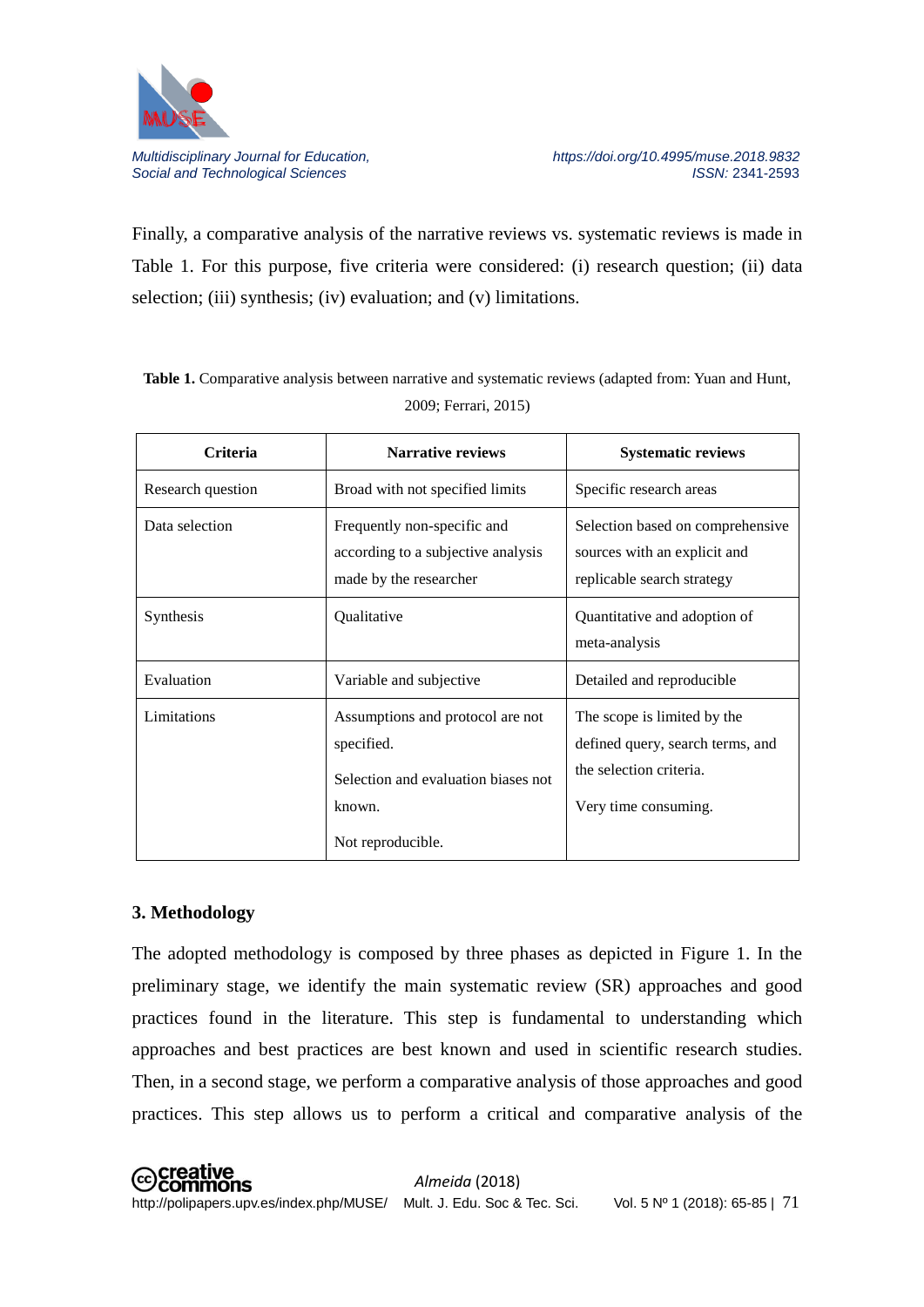

Finally, a comparative analysis of the narrative reviews vs. systematic reviews is made in Table 1. For this purpose, five criteria were considered: (i) research question; (ii) data selection; (iii) synthesis; (iv) evaluation; and (v) limitations.

**Table 1.** Comparative analysis between narrative and systematic reviews (adapted from: Yuan and Hunt, 2009; Ferrari, 2015)

| <b>Criteria</b>   | <b>Narrative reviews</b>                                                                                             | <b>Systematic reviews</b>                                                                                          |
|-------------------|----------------------------------------------------------------------------------------------------------------------|--------------------------------------------------------------------------------------------------------------------|
| Research question | Broad with not specified limits                                                                                      | Specific research areas                                                                                            |
| Data selection    | Frequently non-specific and<br>according to a subjective analysis<br>made by the researcher                          | Selection based on comprehensive<br>sources with an explicit and<br>replicable search strategy                     |
| Synthesis         | Qualitative                                                                                                          | Quantitative and adoption of<br>meta-analysis                                                                      |
| Evaluation        | Variable and subjective                                                                                              | Detailed and reproducible                                                                                          |
| Limitations       | Assumptions and protocol are not<br>specified.<br>Selection and evaluation biases not<br>known.<br>Not reproducible. | The scope is limited by the<br>defined query, search terms, and<br>the selection criteria.<br>Very time consuming. |

# **3. Methodology**

The adopted methodology is composed by three phases as depicted in Figure 1. In the preliminary stage, we identify the main systematic review (SR) approaches and good practices found in the literature. This step is fundamental to understanding which approaches and best practices are best known and used in scientific research studies. Then, in a second stage, we perform a comparative analysis of those approaches and good practices. This step allows us to perform a critical and comparative analysis of the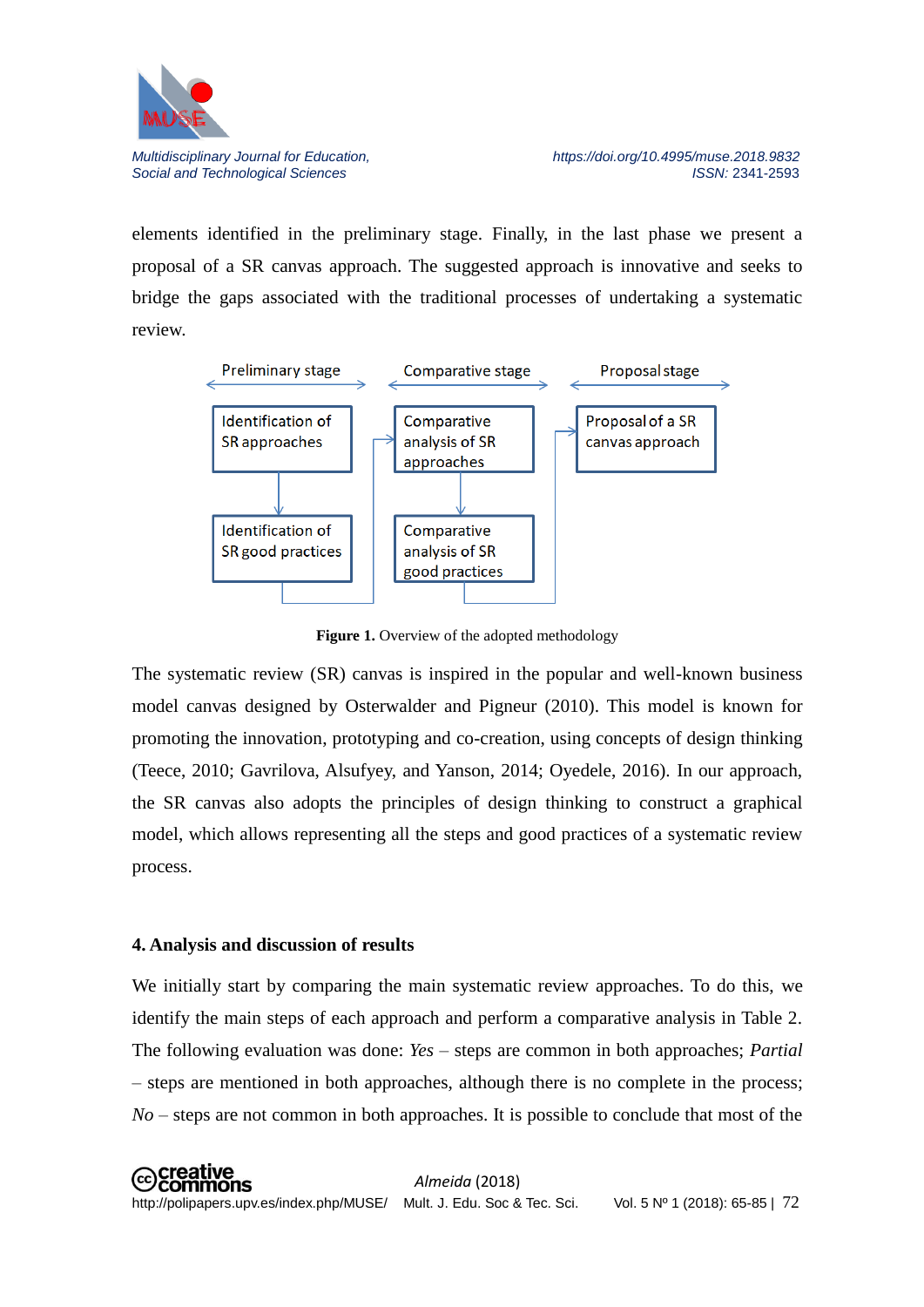

elements identified in the preliminary stage. Finally, in the last phase we present a proposal of a SR canvas approach. The suggested approach is innovative and seeks to bridge the gaps associated with the traditional processes of undertaking a systematic review.



**Figure 1.** Overview of the adopted methodology

The systematic review (SR) canvas is inspired in the popular and well-known business model canvas designed by Osterwalder and Pigneur (2010). This model is known for promoting the innovation, prototyping and co-creation, using concepts of design thinking (Teece, 2010; Gavrilova, Alsufyey, and Yanson, 2014; Oyedele, 2016). In our approach, the SR canvas also adopts the principles of design thinking to construct a graphical model, which allows representing all the steps and good practices of a systematic review process.

# **4. Analysis and discussion of results**

We initially start by comparing the main systematic review approaches. To do this, we identify the main steps of each approach and perform a comparative analysis in Table 2. The following evaluation was done: *Yes* – steps are common in both approaches; *Partial* – steps are mentioned in both approaches, although there is no complete in the process; *No* – steps are not common in both approaches. It is possible to conclude that most of the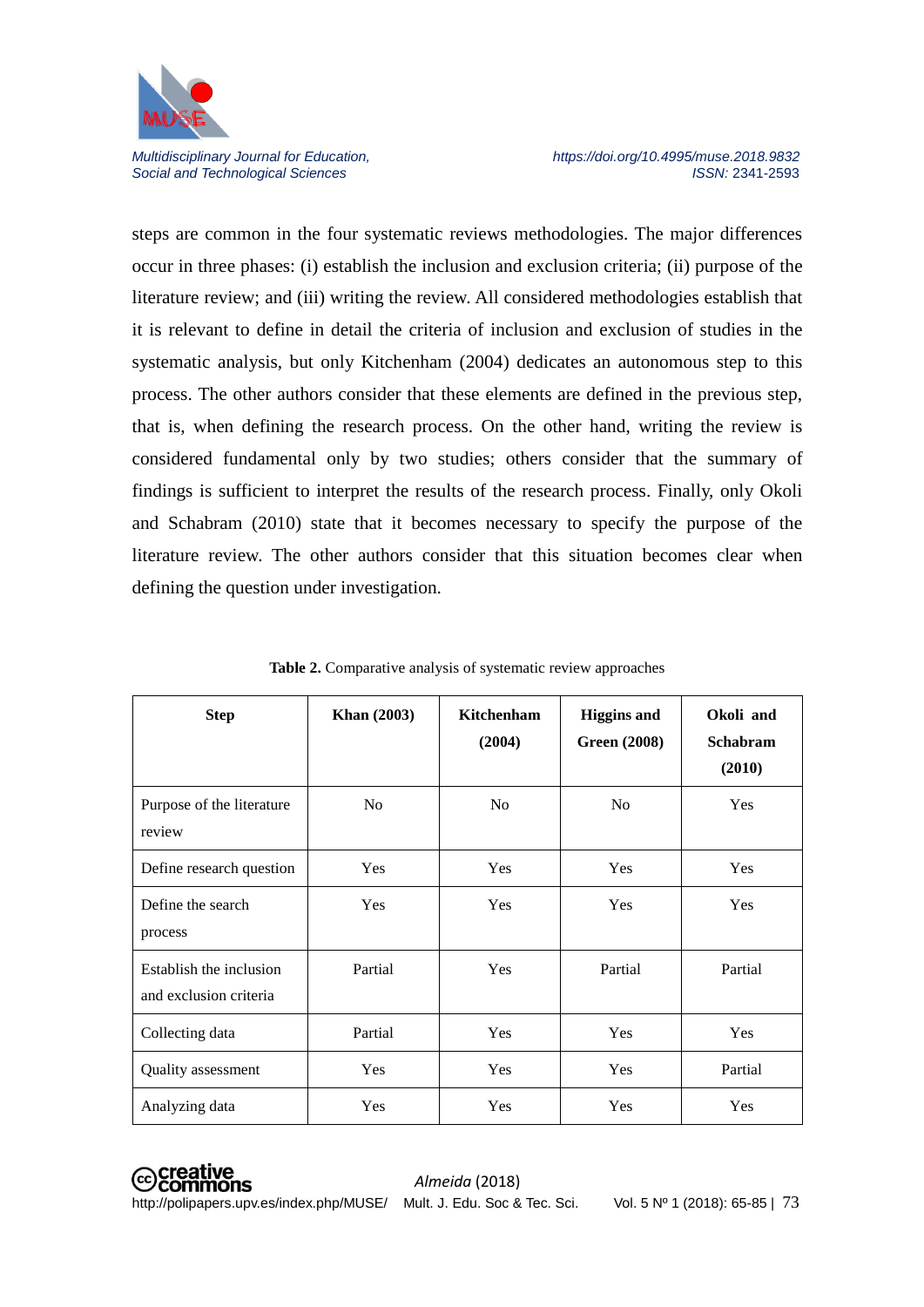

steps are common in the four systematic reviews methodologies. The major differences occur in three phases: (i) establish the inclusion and exclusion criteria; (ii) purpose of the literature review; and (iii) writing the review. All considered methodologies establish that it is relevant to define in detail the criteria of inclusion and exclusion of studies in the systematic analysis, but only Kitchenham (2004) dedicates an autonomous step to this process. The other authors consider that these elements are defined in the previous step, that is, when defining the research process. On the other hand, writing the review is considered fundamental only by two studies; others consider that the summary of findings is sufficient to interpret the results of the research process. Finally, only Okoli and Schabram (2010) state that it becomes necessary to specify the purpose of the literature review. The other authors consider that this situation becomes clear when defining the question under investigation.

| <b>Step</b>                                       | <b>Khan</b> (2003) | Kitchenham<br>(2004) | <b>Higgins and</b><br><b>Green (2008)</b> | Okoli and<br><b>Schabram</b><br>(2010) |
|---------------------------------------------------|--------------------|----------------------|-------------------------------------------|----------------------------------------|
| Purpose of the literature<br>review               | N <sub>o</sub>     | N <sub>o</sub>       | N <sub>0</sub>                            | Yes                                    |
| Define research question                          | Yes                | Yes                  | Yes                                       | Yes                                    |
| Define the search<br>process                      | <b>Yes</b>         | <b>Yes</b>           | Yes                                       | Yes                                    |
| Establish the inclusion<br>and exclusion criteria | Partial            | Yes                  | Partial                                   | Partial                                |
| Collecting data                                   | Partial            | Yes                  | Yes                                       | Yes                                    |
| Quality assessment                                | <b>Yes</b>         | Yes                  | <b>Yes</b>                                | Partial                                |
| Analyzing data                                    | Yes                | Yes                  | Yes                                       | Yes                                    |

**Table 2.** Comparative analysis of systematic review approaches

**⊙Creative**<br>
©Commons http://polipapers.upv.es/index.php/MUSE/ Mult. J. Edu. Soc & Tec. Sci. Vol. 5 Nº 1 (2018): 65-85 | 73

*Almeida* (2018)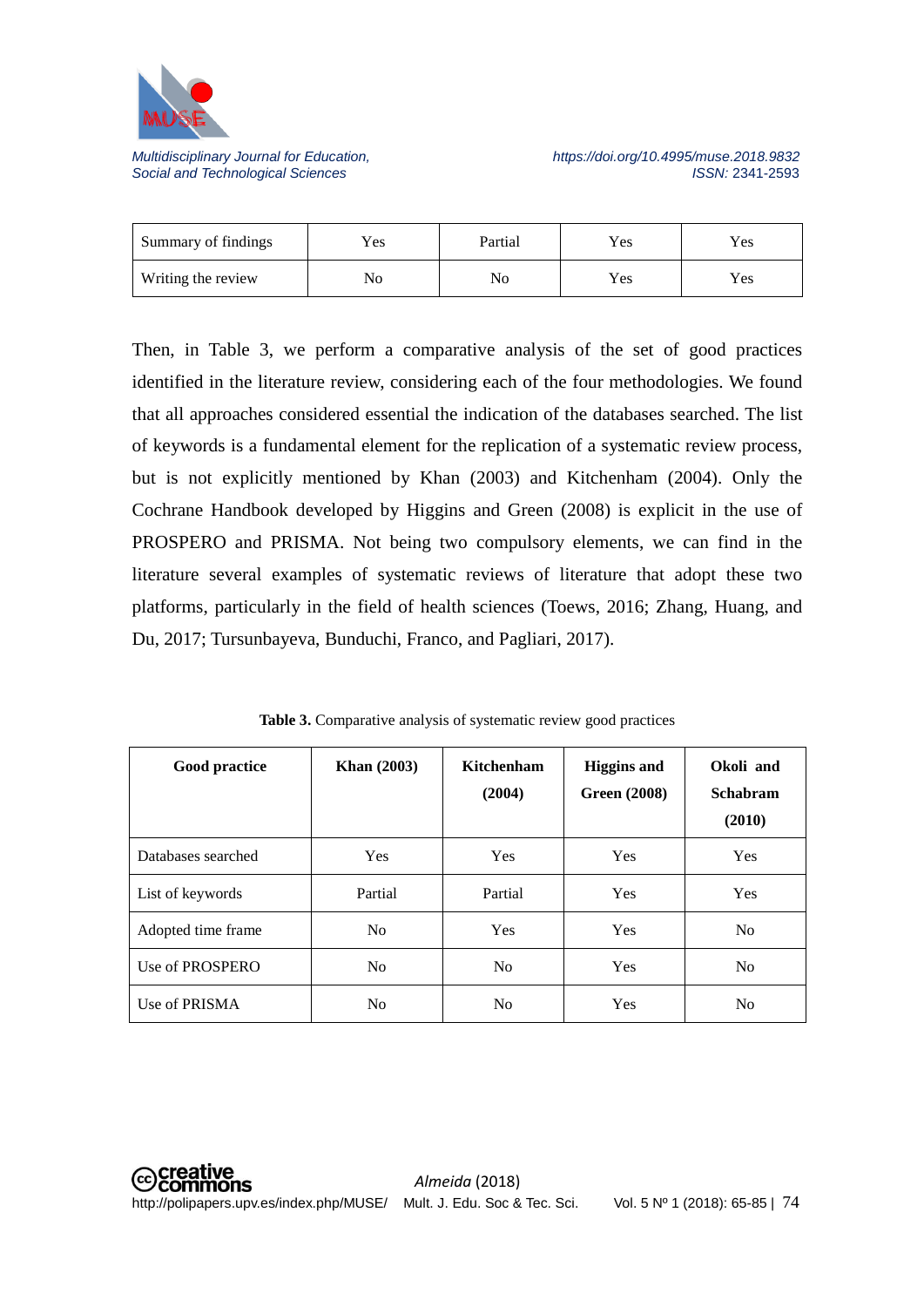

| Summary of findings | $v_{es}$ | Partial | Yes | Yes  |
|---------------------|----------|---------|-----|------|
| Writing the review  | No       | No      | Yes | Y es |

Then, in Table 3, we perform a comparative analysis of the set of good practices identified in the literature review, considering each of the four methodologies. We found that all approaches considered essential the indication of the databases searched. The list of keywords is a fundamental element for the replication of a systematic review process, but is not explicitly mentioned by Khan (2003) and Kitchenham (2004). Only the Cochrane Handbook developed by Higgins and Green (2008) is explicit in the use of PROSPERO and PRISMA. Not being two compulsory elements, we can find in the literature several examples of systematic reviews of literature that adopt these two platforms, particularly in the field of health sciences (Toews, 2016; Zhang, Huang, and Du, 2017; Tursunbayeva, Bunduchi, Franco, and Pagliari, 2017).

|  |  | Table 3. Comparative analysis of systematic review good practices |
|--|--|-------------------------------------------------------------------|
|  |  |                                                                   |

| Good practice      | <b>Khan</b> (2003) | Kitchenham<br>(2004) | <b>Higgins and</b><br><b>Green (2008)</b> | Okoli and<br><b>Schabram</b><br>(2010) |
|--------------------|--------------------|----------------------|-------------------------------------------|----------------------------------------|
| Databases searched | <b>Yes</b>         | <b>Yes</b>           | <b>Yes</b>                                | <b>Yes</b>                             |
| List of keywords   | Partial            | Partial              | <b>Yes</b>                                | <b>Yes</b>                             |
| Adopted time frame | N <sub>0</sub>     | <b>Yes</b>           | <b>Yes</b>                                | N <sub>o</sub>                         |
| Use of PROSPERO    | N <sub>0</sub>     | N <sub>0</sub>       | <b>Yes</b>                                | N <sub>o</sub>                         |
| Use of PRISMA      | N <sub>0</sub>     | N <sub>0</sub>       | Yes                                       | N <sub>0</sub>                         |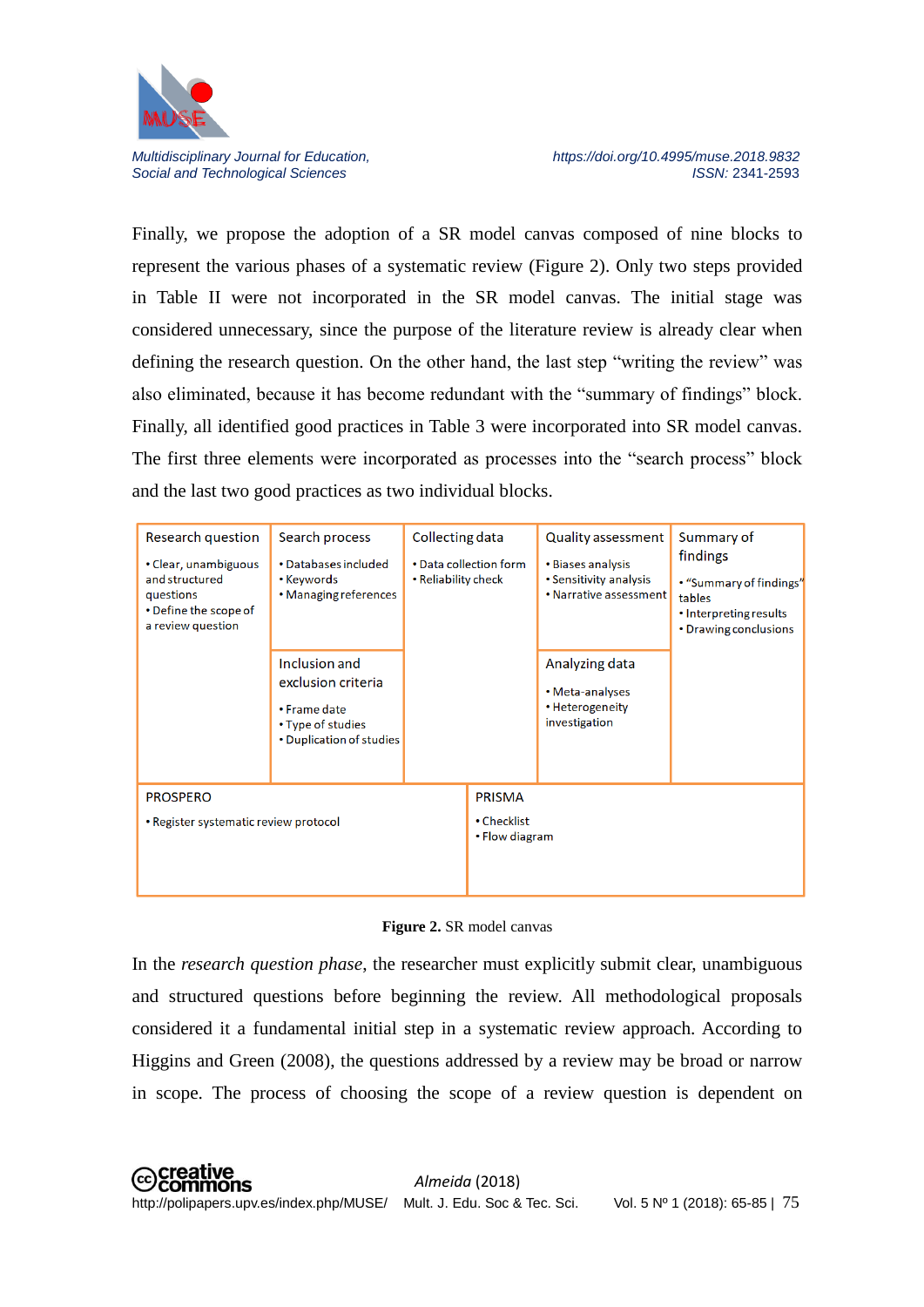

Finally, we propose the adoption of a SR model canvas composed of nine blocks to represent the various phases of a systematic review (Figure 2). Only two steps provided in Table II were not incorporated in the SR model canvas. The initial stage was considered unnecessary, since the purpose of the literature review is already clear when defining the research question. On the other hand, the last step "writing the review" was also eliminated, because it has become redundant with the "summary of findings" block. Finally, all identified good practices in Table 3 were incorporated into SR model canvas. The first three elements were incorporated as processes into the "search process" block and the last two good practices as two individual blocks.

| Research question<br>• Clear, unambiguous<br>and structured<br>questions<br>• Define the scope of<br>a review question | Search process<br>• Databases included<br>• Keywords<br>• Managing references<br>Inclusion and<br>exclusion criteria<br>• Frame date<br>• Type of studies<br>• Duplication of studies | Collecting data<br>• Reliability check | • Data collection form | Quality assessment<br>• Biases analysis<br>• Sensitivity analysis<br>• Narrative assessment<br>Analyzing data<br>• Meta-analyses<br>• Heterogeneity<br>investigation | Summary of<br>findings<br>• "Summary of findings"<br>tables<br>• Interpreting results<br>• Drawing conclusions |
|------------------------------------------------------------------------------------------------------------------------|---------------------------------------------------------------------------------------------------------------------------------------------------------------------------------------|----------------------------------------|------------------------|----------------------------------------------------------------------------------------------------------------------------------------------------------------------|----------------------------------------------------------------------------------------------------------------|
| <b>PROSPERO</b>                                                                                                        |                                                                                                                                                                                       |                                        | <b>PRISMA</b>          |                                                                                                                                                                      |                                                                                                                |
| • Register systematic review protocol                                                                                  |                                                                                                                                                                                       | • Checklist<br>• Flow diagram          |                        |                                                                                                                                                                      |                                                                                                                |

**Figure 2.** SR model canvas

In the *research question phase*, the researcher must explicitly submit clear, unambiguous and structured questions before beginning the review. All methodological proposals considered it a fundamental initial step in a systematic review approach. According to Higgins and Green (2008), the questions addressed by a review may be broad or narrow in scope. The process of choosing the scope of a review question is dependent on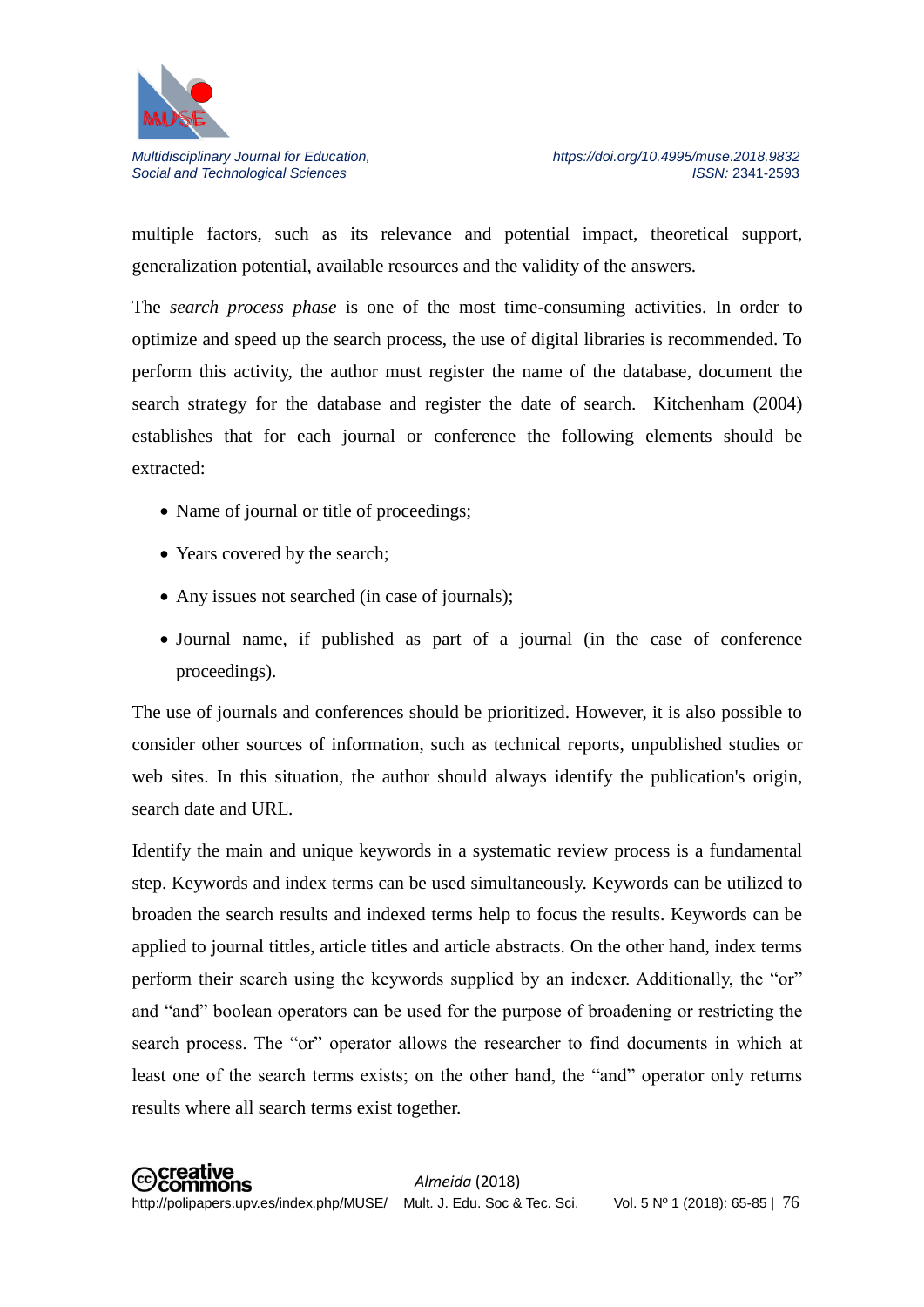

multiple factors, such as its relevance and potential impact, theoretical support, generalization potential, available resources and the validity of the answers.

The *search process phase* is one of the most time-consuming activities. In order to optimize and speed up the search process, the use of digital libraries is recommended. To perform this activity, the author must register the name of the database, document the search strategy for the database and register the date of search. Kitchenham (2004) establishes that for each journal or conference the following elements should be extracted:

- Name of journal or title of proceedings;
- Years covered by the search;
- Any issues not searched (in case of journals);
- Journal name, if published as part of a journal (in the case of conference proceedings).

The use of journals and conferences should be prioritized. However, it is also possible to consider other sources of information, such as technical reports, unpublished studies or web sites. In this situation, the author should always identify the publication's origin, search date and URL.

Identify the main and unique keywords in a systematic review process is a fundamental step. Keywords and index terms can be used simultaneously. Keywords can be utilized to broaden the search results and indexed terms help to focus the results. Keywords can be applied to journal tittles, article titles and article abstracts. On the other hand, index terms perform their search using the keywords supplied by an indexer. Additionally, the "or" and "and" boolean operators can be used for the purpose of broadening or restricting the search process. The "or" operator allows the researcher to find documents in which at least one of the search terms exists; on the other hand, the "and" operator only returns results where all search terms exist together.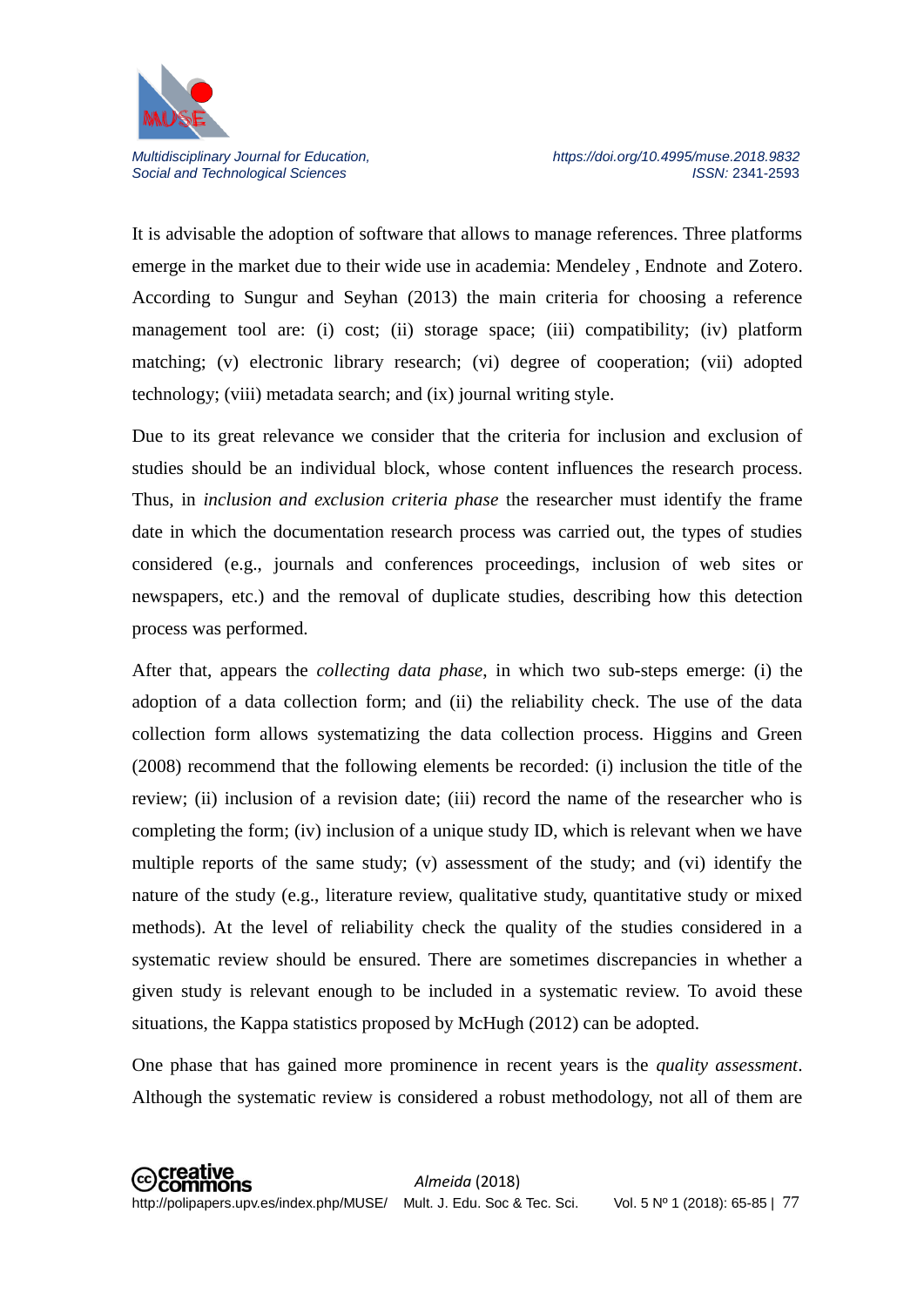

It is advisable the adoption of software that allows to manage references. Three platforms emerge in the market due to their wide use in academia: Mendeley , Endnote and Zotero. According to Sungur and Seyhan (2013) the main criteria for choosing a reference management tool are: (i) cost; (ii) storage space; (iii) compatibility; (iv) platform matching; (v) electronic library research; (vi) degree of cooperation; (vii) adopted technology; (viii) metadata search; and (ix) journal writing style.

Due to its great relevance we consider that the criteria for inclusion and exclusion of studies should be an individual block, whose content influences the research process. Thus, in *inclusion and exclusion criteria phase* the researcher must identify the frame date in which the documentation research process was carried out, the types of studies considered (e.g., journals and conferences proceedings, inclusion of web sites or newspapers, etc.) and the removal of duplicate studies, describing how this detection process was performed.

After that, appears the *collecting data phase*, in which two sub-steps emerge: (i) the adoption of a data collection form; and (ii) the reliability check. The use of the data collection form allows systematizing the data collection process. Higgins and Green (2008) recommend that the following elements be recorded: (i) inclusion the title of the review; (ii) inclusion of a revision date; (iii) record the name of the researcher who is completing the form; (iv) inclusion of a unique study ID, which is relevant when we have multiple reports of the same study; (v) assessment of the study; and (vi) identify the nature of the study (e.g., literature review, qualitative study, quantitative study or mixed methods). At the level of reliability check the quality of the studies considered in a systematic review should be ensured. There are sometimes discrepancies in whether a given study is relevant enough to be included in a systematic review. To avoid these situations, the Kappa statistics proposed by McHugh (2012) can be adopted.

One phase that has gained more prominence in recent years is the *quality assessment*. Although the systematic review is considered a robust methodology, not all of them are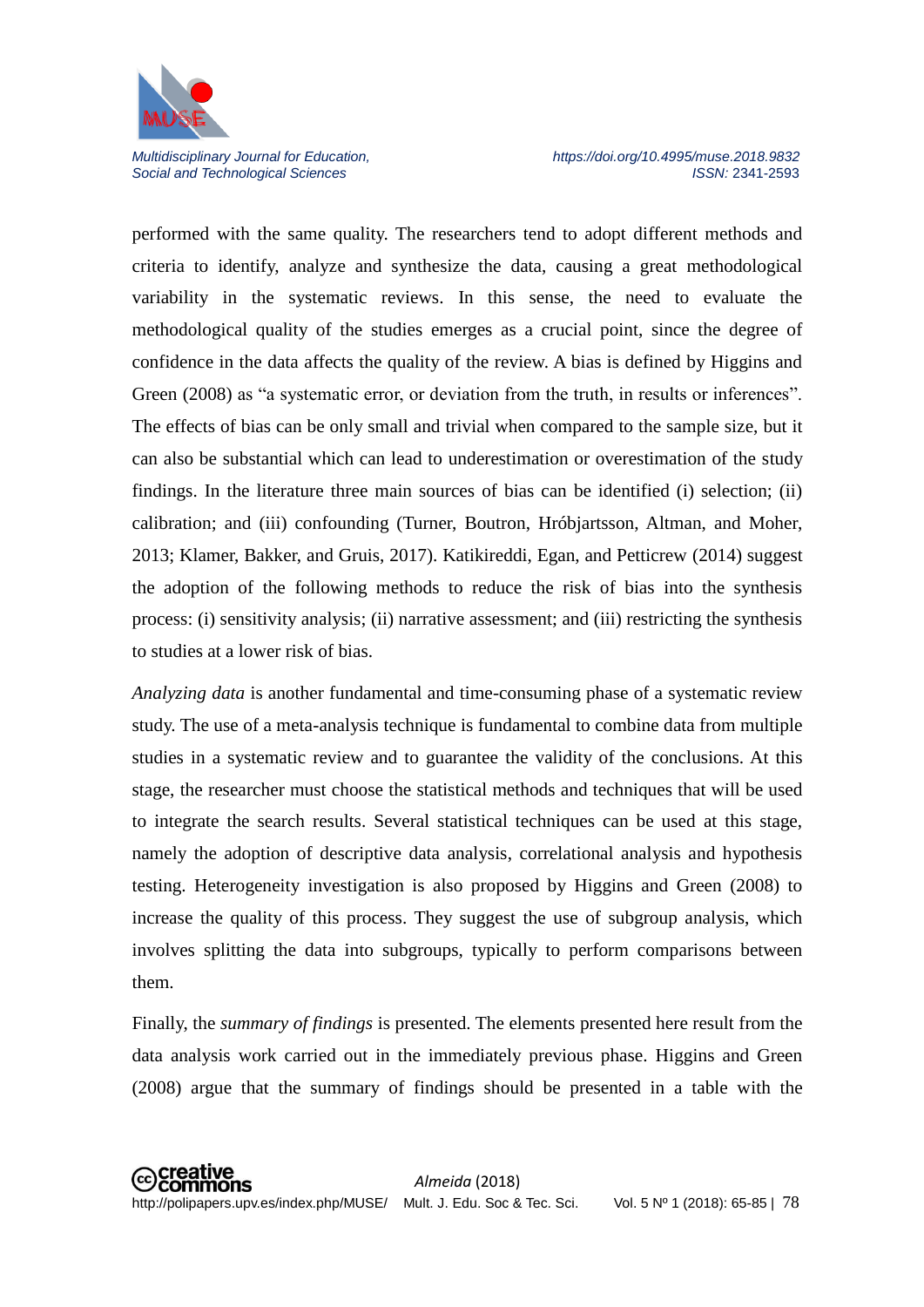

performed with the same quality. The researchers tend to adopt different methods and criteria to identify, analyze and synthesize the data, causing a great methodological variability in the systematic reviews. In this sense, the need to evaluate the methodological quality of the studies emerges as a crucial point, since the degree of confidence in the data affects the quality of the review. A bias is defined by Higgins and Green (2008) as "a systematic error, or deviation from the truth, in results or inferences". The effects of bias can be only small and trivial when compared to the sample size, but it can also be substantial which can lead to underestimation or overestimation of the study findings. In the literature three main sources of bias can be identified (i) selection; (ii) calibration; and (iii) confounding (Turner, Boutron, Hróbjartsson, Altman, and Moher, 2013; Klamer, Bakker, and Gruis, 2017). Katikireddi, Egan, and Petticrew (2014) suggest the adoption of the following methods to reduce the risk of bias into the synthesis process: (i) sensitivity analysis; (ii) narrative assessment; and (iii) restricting the synthesis to studies at a lower risk of bias.

*Analyzing data* is another fundamental and time-consuming phase of a systematic review study. The use of a meta-analysis technique is fundamental to combine data from multiple studies in a systematic review and to guarantee the validity of the conclusions. At this stage, the researcher must choose the statistical methods and techniques that will be used to integrate the search results. Several statistical techniques can be used at this stage, namely the adoption of descriptive data analysis, correlational analysis and hypothesis testing. Heterogeneity investigation is also proposed by Higgins and Green (2008) to increase the quality of this process. They suggest the use of subgroup analysis, which involves splitting the data into subgroups, typically to perform comparisons between them.

Finally, the *summary of findings* is presented. The elements presented here result from the data analysis work carried out in the immediately previous phase. Higgins and Green (2008) argue that the summary of findings should be presented in a table with the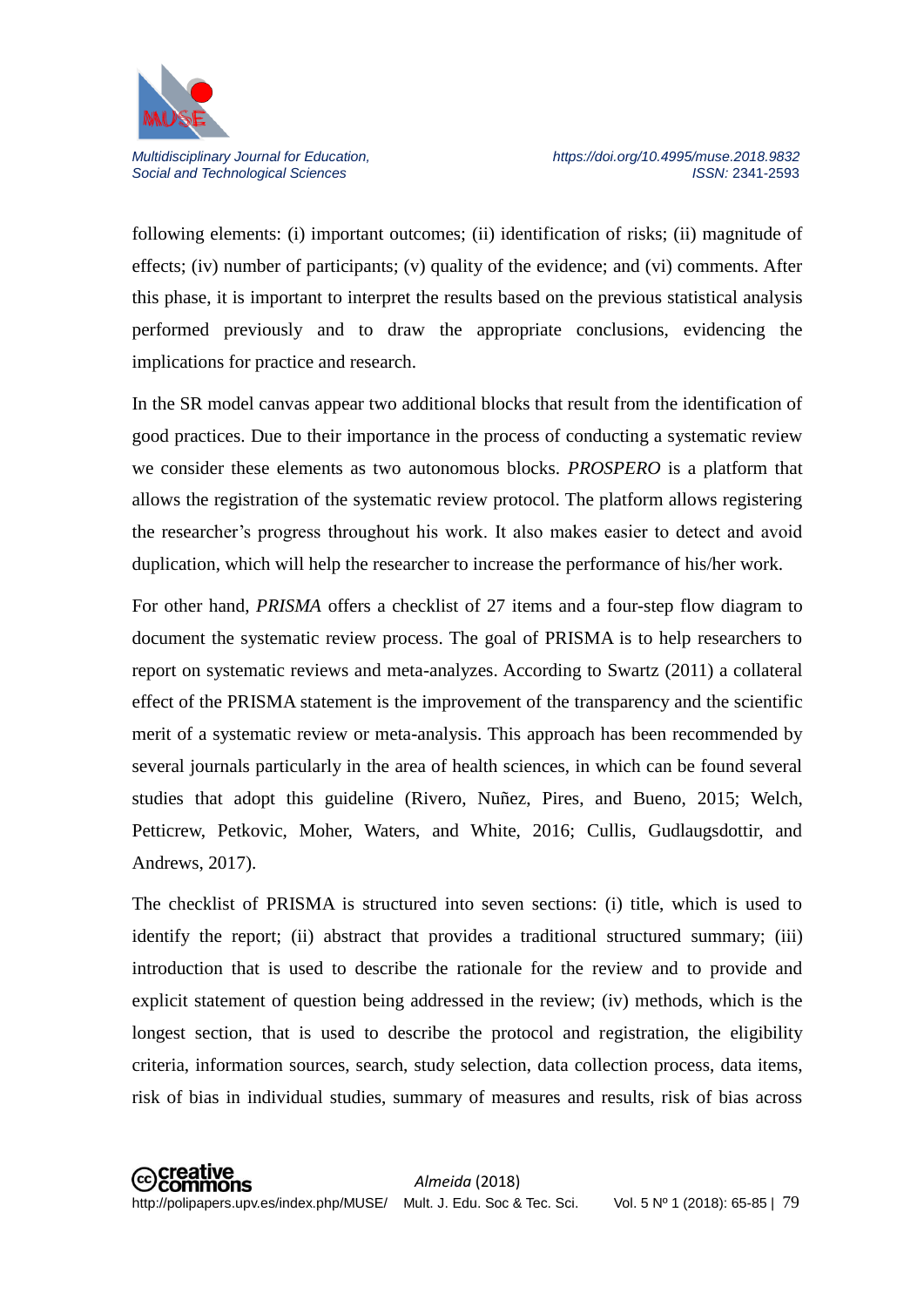

following elements: (i) important outcomes; (ii) identification of risks; (ii) magnitude of effects; (iv) number of participants; (v) quality of the evidence; and (vi) comments. After this phase, it is important to interpret the results based on the previous statistical analysis performed previously and to draw the appropriate conclusions, evidencing the implications for practice and research.

In the SR model canvas appear two additional blocks that result from the identification of good practices. Due to their importance in the process of conducting a systematic review we consider these elements as two autonomous blocks. *PROSPERO* is a platform that allows the registration of the systematic review protocol. The platform allows registering the researcher's progress throughout his work. It also makes easier to detect and avoid duplication, which will help the researcher to increase the performance of his/her work.

For other hand, *PRISMA* offers a checklist of 27 items and a four-step flow diagram to document the systematic review process. The goal of PRISMA is to help researchers to report on systematic reviews and meta-analyzes. According to Swartz (2011) a collateral effect of the PRISMA statement is the improvement of the transparency and the scientific merit of a systematic review or meta-analysis. This approach has been recommended by several journals particularly in the area of health sciences, in which can be found several studies that adopt this guideline (Rivero, Nuñez, Pires, and Bueno, 2015; Welch, Petticrew, Petkovic, Moher, Waters, and White, 2016; Cullis, Gudlaugsdottir, and Andrews, 2017).

The checklist of PRISMA is structured into seven sections: (i) title, which is used to identify the report; (ii) abstract that provides a traditional structured summary; (iii) introduction that is used to describe the rationale for the review and to provide and explicit statement of question being addressed in the review; (iv) methods, which is the longest section, that is used to describe the protocol and registration, the eligibility criteria, information sources, search, study selection, data collection process, data items, risk of bias in individual studies, summary of measures and results, risk of bias across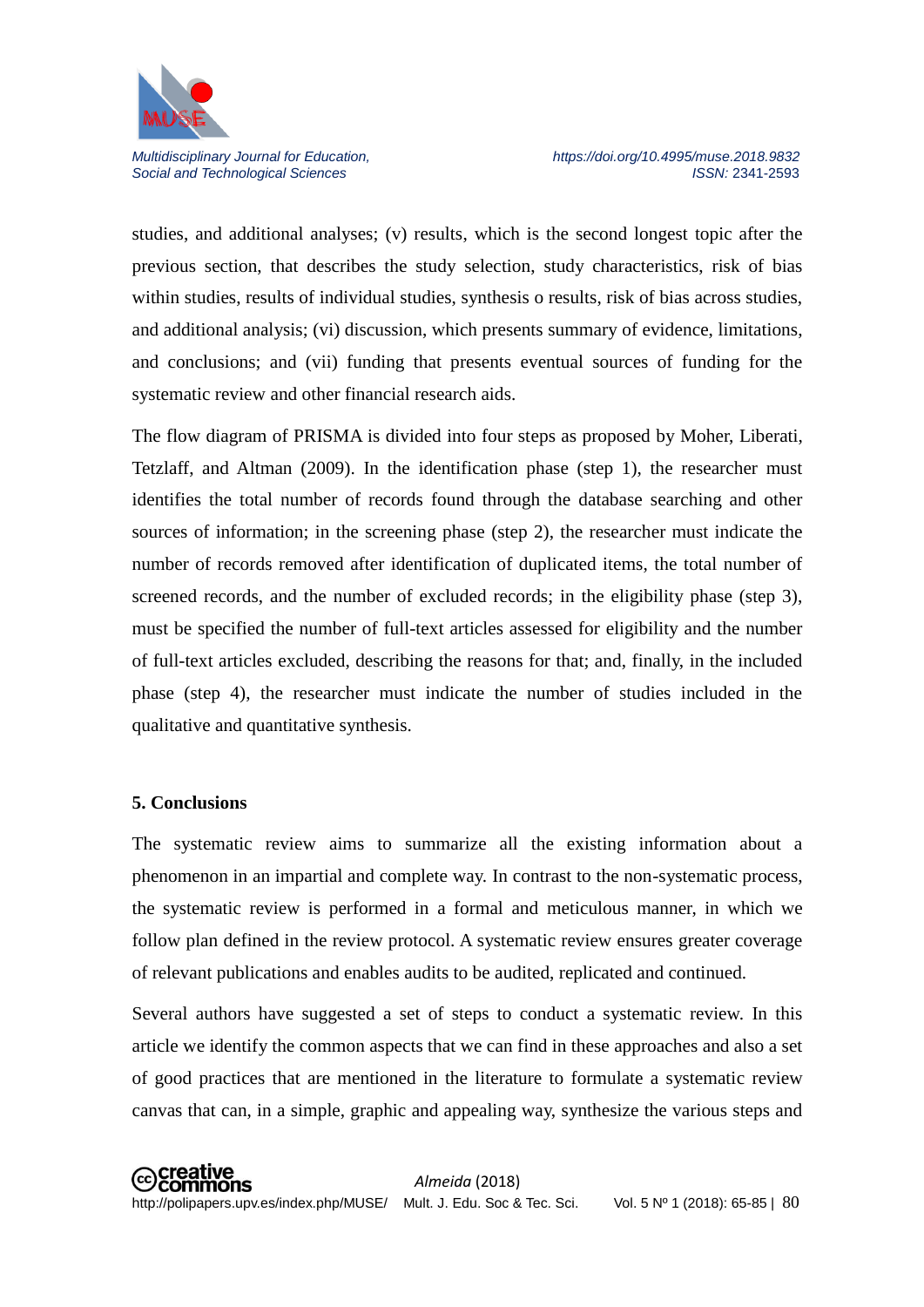

studies, and additional analyses; (v) results, which is the second longest topic after the previous section, that describes the study selection, study characteristics, risk of bias within studies, results of individual studies, synthesis o results, risk of bias across studies, and additional analysis; (vi) discussion, which presents summary of evidence, limitations, and conclusions; and (vii) funding that presents eventual sources of funding for the systematic review and other financial research aids.

The flow diagram of PRISMA is divided into four steps as proposed by Moher, Liberati, Tetzlaff, and Altman (2009). In the identification phase (step 1), the researcher must identifies the total number of records found through the database searching and other sources of information; in the screening phase (step 2), the researcher must indicate the number of records removed after identification of duplicated items, the total number of screened records, and the number of excluded records; in the eligibility phase (step 3), must be specified the number of full-text articles assessed for eligibility and the number of full-text articles excluded, describing the reasons for that; and, finally, in the included phase (step 4), the researcher must indicate the number of studies included in the qualitative and quantitative synthesis.

#### **5. Conclusions**

The systematic review aims to summarize all the existing information about a phenomenon in an impartial and complete way. In contrast to the non-systematic process, the systematic review is performed in a formal and meticulous manner, in which we follow plan defined in the review protocol. A systematic review ensures greater coverage of relevant publications and enables audits to be audited, replicated and continued.

Several authors have suggested a set of steps to conduct a systematic review. In this article we identify the common aspects that we can find in these approaches and also a set of good practices that are mentioned in the literature to formulate a systematic review canvas that can, in a simple, graphic and appealing way, synthesize the various steps and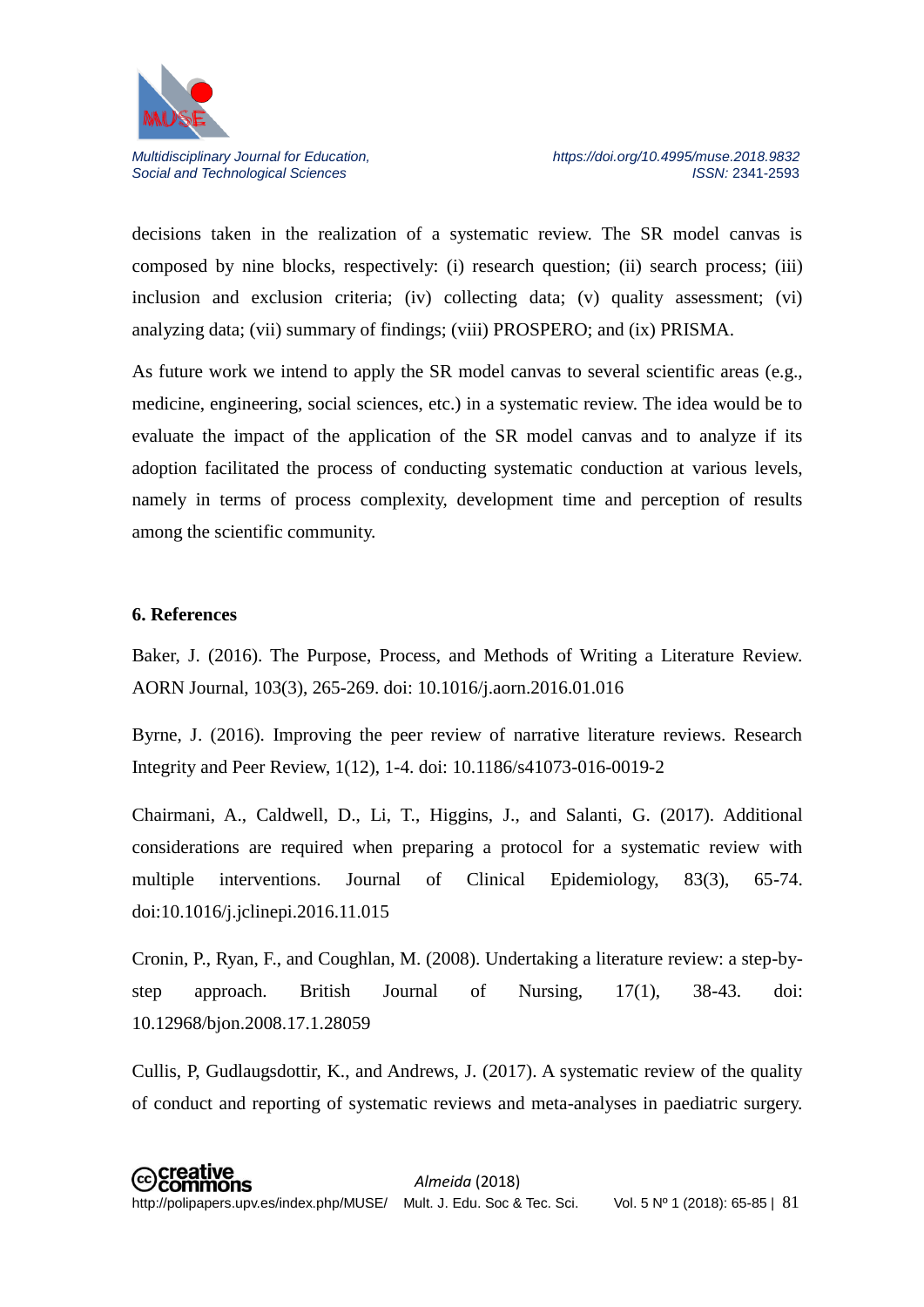

decisions taken in the realization of a systematic review. The SR model canvas is composed by nine blocks, respectively: (i) research question; (ii) search process; (iii) inclusion and exclusion criteria; (iv) collecting data; (v) quality assessment; (vi) analyzing data; (vii) summary of findings; (viii) PROSPERO; and (ix) PRISMA.

As future work we intend to apply the SR model canvas to several scientific areas (e.g., medicine, engineering, social sciences, etc.) in a systematic review. The idea would be to evaluate the impact of the application of the SR model canvas and to analyze if its adoption facilitated the process of conducting systematic conduction at various levels, namely in terms of process complexity, development time and perception of results among the scientific community.

#### **6. References**

Baker, J. (2016). The Purpose, Process, and Methods of Writing a Literature Review. AORN Journal, 103(3), 265-269. doi: 10.1016/j.aorn.2016.01.016

Byrne, J. (2016). Improving the peer review of narrative literature reviews. Research Integrity and Peer Review, 1(12), 1-4. doi: 10.1186/s41073-016-0019-2

Chairmani, A., Caldwell, D., Li, T., Higgins, J., and Salanti, G. (2017). Additional considerations are required when preparing a protocol for a systematic review with multiple interventions. Journal of Clinical Epidemiology, 83(3), 65-74. doi:10.1016/j.jclinepi.2016.11.015

Cronin, P., Ryan, F., and Coughlan, M. (2008). Undertaking a literature review: a step-bystep approach. British Journal of Nursing, 17(1), 38-43. doi: 10.12968/bjon.2008.17.1.28059

Cullis, P, Gudlaugsdottir, K., and Andrews, J. (2017). A systematic review of the quality of conduct and reporting of systematic reviews and meta-analyses in paediatric surgery.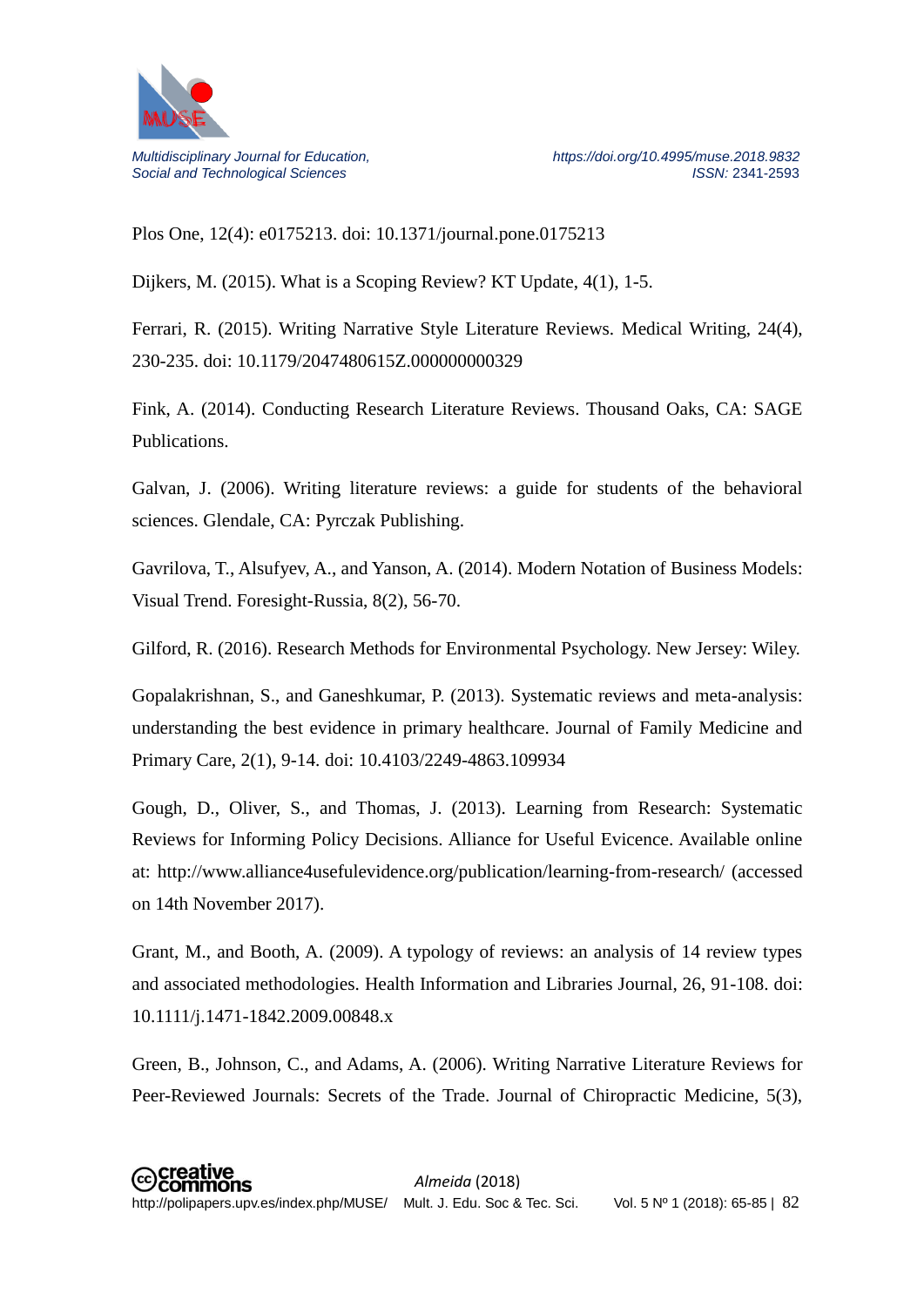

Plos One, 12(4): e0175213. doi: 10.1371/journal.pone.0175213

Dijkers, M. (2015). What is a Scoping Review? KT Update, 4(1), 1-5.

Ferrari, R. (2015). Writing Narrative Style Literature Reviews. Medical Writing, 24(4), 230-235. doi: 10.1179/2047480615Z.000000000329

Fink, A. (2014). Conducting Research Literature Reviews. Thousand Oaks, CA: SAGE **Publications** 

Galvan, J. (2006). Writing literature reviews: a guide for students of the behavioral sciences. Glendale, CA: Pyrczak Publishing.

Gavrilova, T., Alsufyev, A., and Yanson, A. (2014). Modern Notation of Business Models: Visual Trend. Foresight-Russia, 8(2), 56-70.

Gilford, R. (2016). Research Methods for Environmental Psychology. New Jersey: Wiley.

Gopalakrishnan, S., and Ganeshkumar, P. (2013). Systematic reviews and meta-analysis: understanding the best evidence in primary healthcare. Journal of Family Medicine and Primary Care, 2(1), 9-14. doi: 10.4103/2249-4863.109934

Gough, D., Oliver, S., and Thomas, J. (2013). Learning from Research: Systematic Reviews for Informing Policy Decisions. Alliance for Useful Evicence. Available online at: http://www.alliance4usefulevidence.org/publication/learning-from-research/ (accessed on 14th November 2017).

Grant, M., and Booth, A. (2009). A typology of reviews: an analysis of 14 review types and associated methodologies. Health Information and Libraries Journal, 26, 91-108. doi: 10.1111/j.1471-1842.2009.00848.x

Green, B., Johnson, C., and Adams, A. (2006). Writing Narrative Literature Reviews for Peer-Reviewed Journals: Secrets of the Trade. Journal of Chiropractic Medicine, 5(3),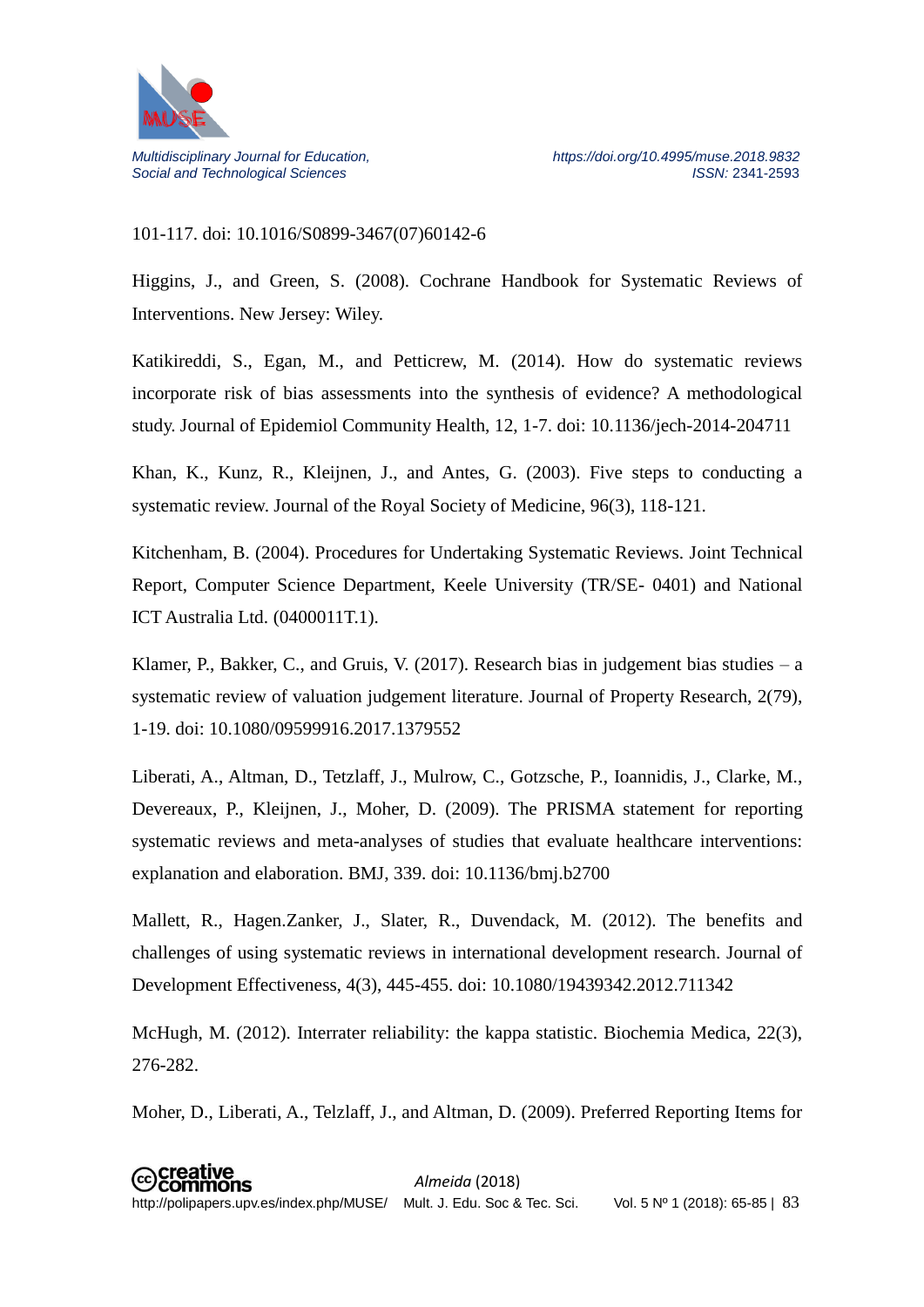

# 101-117. doi: 10.1016/S0899-3467(07)60142-6

Higgins, J., and Green, S. (2008). Cochrane Handbook for Systematic Reviews of Interventions. New Jersey: Wiley.

Katikireddi, S., Egan, M., and Petticrew, M. (2014). How do systematic reviews incorporate risk of bias assessments into the synthesis of evidence? A methodological study. Journal of Epidemiol Community Health, 12, 1-7. doi: 10.1136/jech-2014-204711

Khan, K., Kunz, R., Kleijnen, J., and Antes, G. (2003). Five steps to conducting a systematic review. Journal of the Royal Society of Medicine, 96(3), 118-121.

Kitchenham, B. (2004). Procedures for Undertaking Systematic Reviews. Joint Technical Report, Computer Science Department, Keele University (TR/SE- 0401) and National ICT Australia Ltd. (0400011T.1).

Klamer, P., Bakker, C., and Gruis, V. (2017). Research bias in judgement bias studies  $- a$ systematic review of valuation judgement literature. Journal of Property Research, 2(79), 1-19. doi: 10.1080/09599916.2017.1379552

Liberati, A., Altman, D., Tetzlaff, J., Mulrow, C., Gotzsche, P., Ioannidis, J., Clarke, M., Devereaux, P., Kleijnen, J., Moher, D. (2009). The PRISMA statement for reporting systematic reviews and meta-analyses of studies that evaluate healthcare interventions: explanation and elaboration. BMJ, 339. doi: 10.1136/bmj.b2700

Mallett, R., Hagen.Zanker, J., Slater, R., Duvendack, M. (2012). The benefits and challenges of using systematic reviews in international development research. Journal of Development Effectiveness, 4(3), 445-455. doi: 10.1080/19439342.2012.711342

McHugh, M. (2012). Interrater reliability: the kappa statistic. Biochemia Medica, 22(3), 276-282.

Moher, D., Liberati, A., Telzlaff, J., and Altman, D. (2009). Preferred Reporting Items for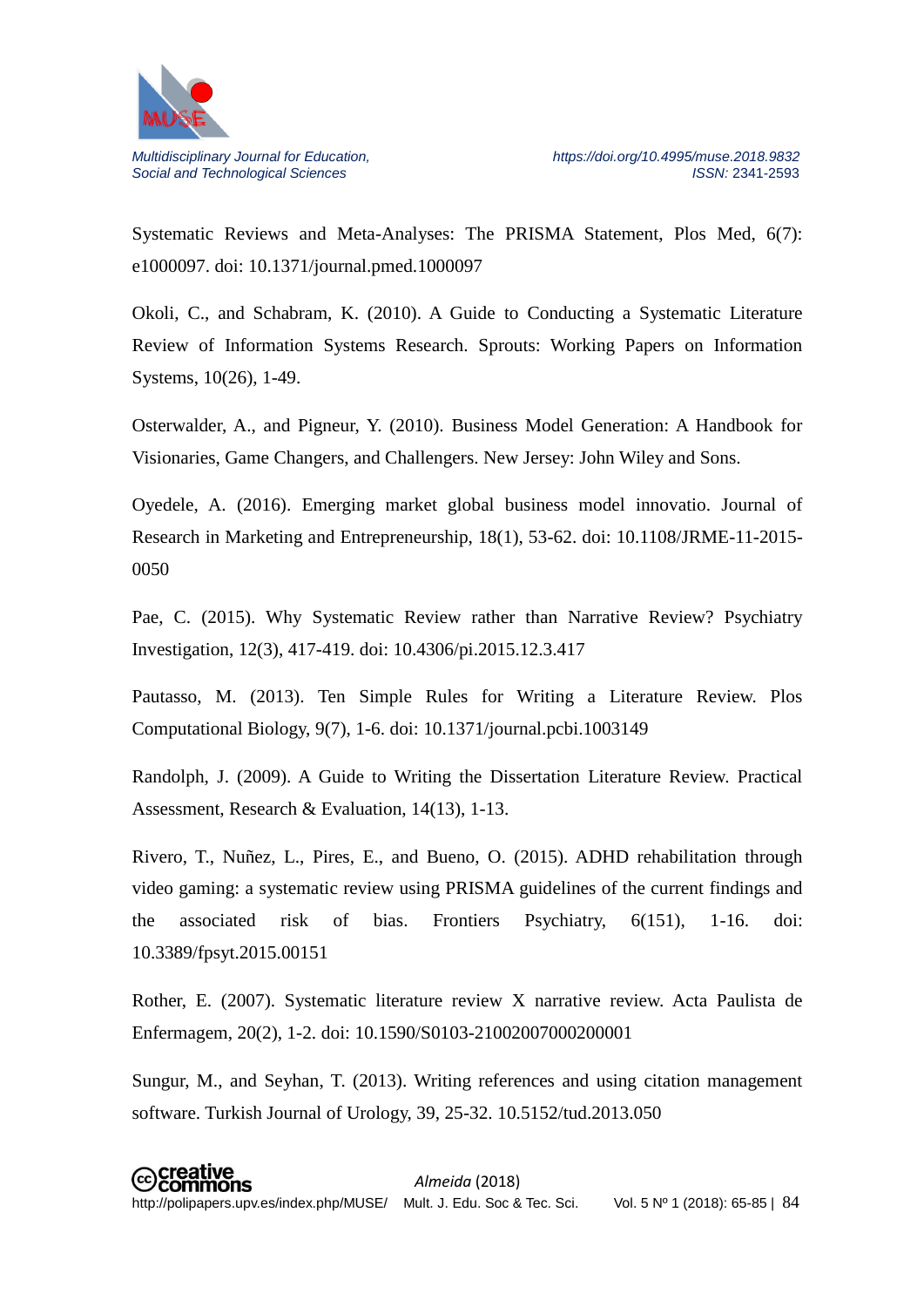

Systematic Reviews and Meta-Analyses: The PRISMA Statement, Plos Med, 6(7): e1000097. doi: 10.1371/journal.pmed.1000097

Okoli, C., and Schabram, K. (2010). A Guide to Conducting a Systematic Literature Review of Information Systems Research. Sprouts: Working Papers on Information Systems, 10(26), 1-49.

Osterwalder, A., and Pigneur, Y. (2010). Business Model Generation: A Handbook for Visionaries, Game Changers, and Challengers. New Jersey: John Wiley and Sons.

Oyedele, A. (2016). Emerging market global business model innovatio. Journal of Research in Marketing and Entrepreneurship, 18(1), 53-62. doi: 10.1108/JRME-11-2015- 0050

Pae, C. (2015). Why Systematic Review rather than Narrative Review? Psychiatry Investigation, 12(3), 417-419. doi: 10.4306/pi.2015.12.3.417

Pautasso, M. (2013). Ten Simple Rules for Writing a Literature Review. Plos Computational Biology, 9(7), 1-6. doi: 10.1371/journal.pcbi.1003149

Randolph, J. (2009). A Guide to Writing the Dissertation Literature Review. Practical Assessment, Research & Evaluation, 14(13), 1-13.

Rivero, T., Nuñez, L., Pires, E., and Bueno, O. (2015). ADHD rehabilitation through video gaming: a systematic review using PRISMA guidelines of the current findings and the associated risk of bias. Frontiers Psychiatry, 6(151), 1-16. doi: 10.3389/fpsyt.2015.00151

Rother, E. (2007). Systematic literature review X narrative review. Acta Paulista de Enfermagem, 20(2), 1-2. doi: 10.1590/S0103-21002007000200001

Sungur, M., and Seyhan, T. (2013). Writing references and using citation management software. Turkish Journal of Urology, 39, 25-32. 10.5152/tud.2013.050